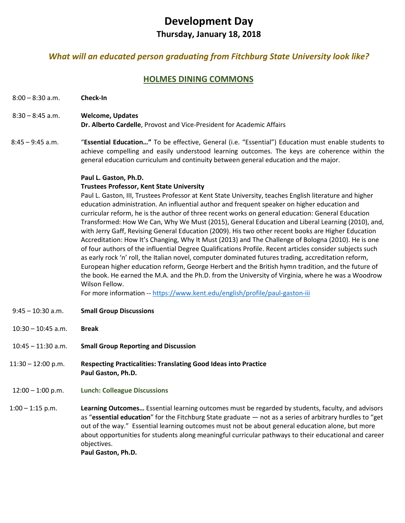# **Development Day**

# **Thursday, January 18, 2018**

# *What will an educated person graduating from Fitchburg State University look like?*

# **HOLMES DINING COMMONS**

- 8:00 8:30 a.m. **Check-In**
- 8:30 8:45 a.m. **Welcome, Updates**

**Dr. Alberto Cardelle**, Provost and Vice-President for Academic Affairs

8:45 – 9:45 a.m. "**Essential Education…"** To be effective, General (i.e. "Essential") Education must enable students to achieve compelling and easily understood learning outcomes. The keys are coherence within the general education curriculum and continuity between general education and the major.

# **Paul L. Gaston, Ph.D.**

# **Trustees Professor, Kent State University**

Paul L. Gaston, III, Trustees Professor at Kent State University, teaches English literature and higher education administration. An influential author and frequent speaker on higher education and curricular reform, he is the author of three recent works on general education: General Education Transformed: How We Can, Why We Must (2015), General Education and Liberal Learning (2010), and, with Jerry Gaff, Revising General Education (2009). His two other recent books are Higher Education Accreditation: How It's Changing, Why It Must (2013) and The Challenge of Bologna (2010). He is one of four authors of the influential Degree Qualifications Profile. Recent articles consider subjects such as early rock 'n' roll, the Italian novel, computer dominated futures trading, accreditation reform, European higher education reform, George Herbert and the British hymn tradition, and the future of the book. He earned the M.A. and the Ph.D. from the University of Virginia, where he was a Woodrow Wilson Fellow.

For more information -- <https://www.kent.edu/english/profile/paul-gaston-iii>

- 9:45 10:30 a.m. **Small Group Discussions**
- 10:30 10:45 a.m. **Break**
- 10:45 11:30 a.m. **Small Group Reporting and Discussion**
- 11:30 12:00 p.m. **Respecting Practicalities: Translating Good Ideas into Practice Paul Gaston, Ph.D.**
- 12:00 1:00 p.m. **Lunch: Colleague Discussions**
- 1:00 1:15 p.m. **Learning Outcomes…** Essential learning outcomes must be regarded by students, faculty, and advisors as "**essential education**" for the Fitchburg State graduate — not as a series of arbitrary hurdles to "get out of the way." Essential learning outcomes must not be about general education alone, but more about opportunities for students along meaningful curricular pathways to their educational and career objectives.

**Paul Gaston, Ph.D.**